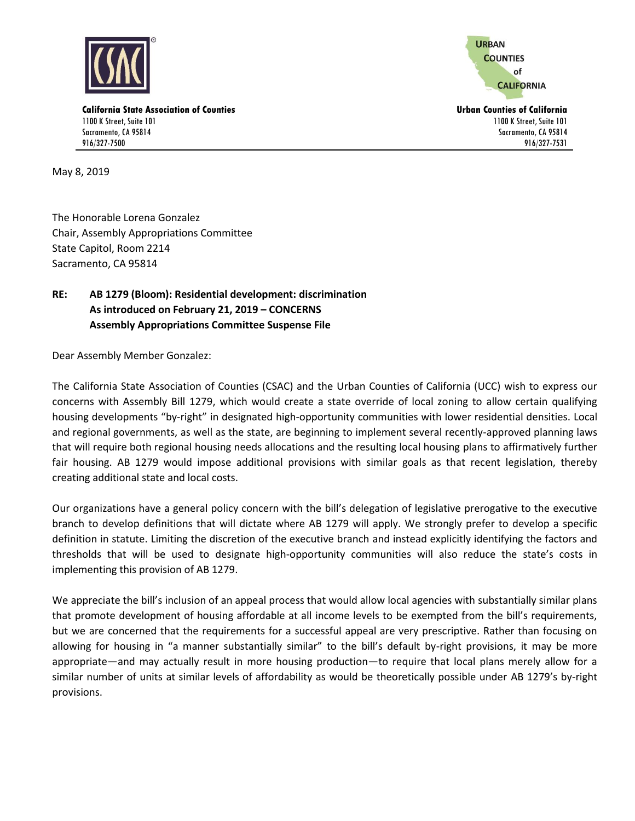

**URBAN COUNTIES** of **CALIFORNIA** 

1100 K Street, Suite 101 Sacramento, CA 95814 916/327-7531

**California State Association of Counties Urban Counties of California** 1100 K Street, Suite 101 Sacramento, CA 95814 916/327-7500

May 8, 2019

The Honorable Lorena Gonzalez Chair, Assembly Appropriations Committee State Capitol, Room 2214 Sacramento, CA 95814

## **RE: AB 1279 (Bloom): Residential development: discrimination As introduced on February 21, 2019 – CONCERNS Assembly Appropriations Committee Suspense File**

Dear Assembly Member Gonzalez:

The California State Association of Counties (CSAC) and the Urban Counties of California (UCC) wish to express our concerns with Assembly Bill 1279, which would create a state override of local zoning to allow certain qualifying housing developments "by-right" in designated high-opportunity communities with lower residential densities. Local and regional governments, as well as the state, are beginning to implement several recently-approved planning laws that will require both regional housing needs allocations and the resulting local housing plans to affirmatively further fair housing. AB 1279 would impose additional provisions with similar goals as that recent legislation, thereby creating additional state and local costs.

Our organizations have a general policy concern with the bill's delegation of legislative prerogative to the executive branch to develop definitions that will dictate where AB 1279 will apply. We strongly prefer to develop a specific definition in statute. Limiting the discretion of the executive branch and instead explicitly identifying the factors and thresholds that will be used to designate high-opportunity communities will also reduce the state's costs in implementing this provision of AB 1279.

We appreciate the bill's inclusion of an appeal process that would allow local agencies with substantially similar plans that promote development of housing affordable at all income levels to be exempted from the bill's requirements, but we are concerned that the requirements for a successful appeal are very prescriptive. Rather than focusing on allowing for housing in "a manner substantially similar" to the bill's default by-right provisions, it may be more appropriate—and may actually result in more housing production—to require that local plans merely allow for a similar number of units at similar levels of affordability as would be theoretically possible under AB 1279's by-right provisions.